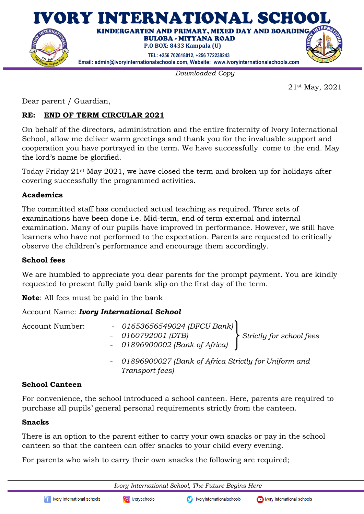

*Downloaded Copy*

21st May, 2021

Dear parent / Guardian,

# **RE: END OF TERM CIRCULAR 2021**

On behalf of the directors, administration and the entire fraternity of Ivory International School, allow me deliver warm greetings and thank you for the invaluable support and cooperation you have portrayed in the term. We have successfully come to the end. May the lord's name be glorified.

Today Friday 21st May 2021, we have closed the term and broken up for holidays after covering successfully the programmed activities.

### **Academics**

The committed staff has conducted actual teaching as required. Three sets of examinations have been done i.e. Mid-term, end of term external and internal examination. Many of our pupils have improved in performance. However, we still have learners who have not performed to the expectation. Parents are requested to critically observe the children's performance and encourage them accordingly.

#### **School fees**

We are humbled to appreciate you dear parents for the prompt payment. You are kindly requested to present fully paid bank slip on the first day of the term.

**Note**: All fees must be paid in the bank

## Account Name: *Ivory International School*

| <b>Account Number:</b> | - $01653656549024$ (DFCU Bank)<br>$-0160792001(DTB)$<br>- 01896900002 (Bank of Africa) | Strictly for school fees |
|------------------------|----------------------------------------------------------------------------------------|--------------------------|
|                        | - 01896900027 (Bank of Africa Strictly for Uniform and<br>Transport fees)              |                          |

## **School Canteen**

For convenience, the school introduced a school canteen. Here, parents are required to purchase all pupils' general personal requirements strictly from the canteen.

#### **Snacks**

There is an option to the parent either to carry your own snacks or pay in the school canteen so that the canteen can offer snacks to your child every evening.

For parents who wish to carry their own snacks the following are required;

*Ivory International School, The Future Begins Here*